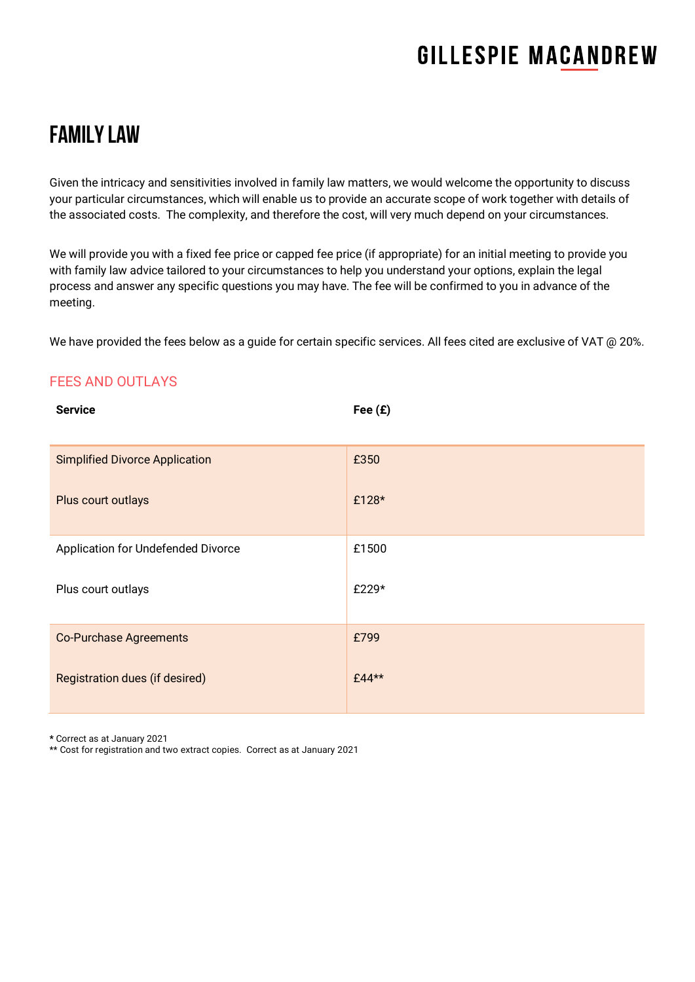# **GILLESPIE MACANDREW**

# Family Law

Given the intricacy and sensitivities involved in family law matters, we would welcome the opportunity to discuss your particular circumstances, which will enable us to provide an accurate scope of work together with details of the associated costs. The complexity, and therefore the cost, will very much depend on your circumstances.

We will provide you with a fixed fee price or capped fee price (if appropriate) for an initial meeting to provide you with family law advice tailored to your circumstances to help you understand your options, explain the legal process and answer any specific questions you may have. The fee will be confirmed to you in advance of the meeting.

We have provided the fees below as a quide for certain specific services. All fees cited are exclusive of VAT @ 20%.

#### FEES AND OUTLAYS

| <b>Service</b>                        | Fee $(E)$ |
|---------------------------------------|-----------|
| <b>Simplified Divorce Application</b> | £350      |
| Plus court outlays                    | £128*     |
| Application for Undefended Divorce    | £1500     |
| Plus court outlays                    | £229*     |
| <b>Co-Purchase Agreements</b>         | £799      |
| Registration dues (if desired)        | £44**     |

**\*** Correct as at January 2021

\*\* Cost for registration and two extract copies. Correct as at January 2021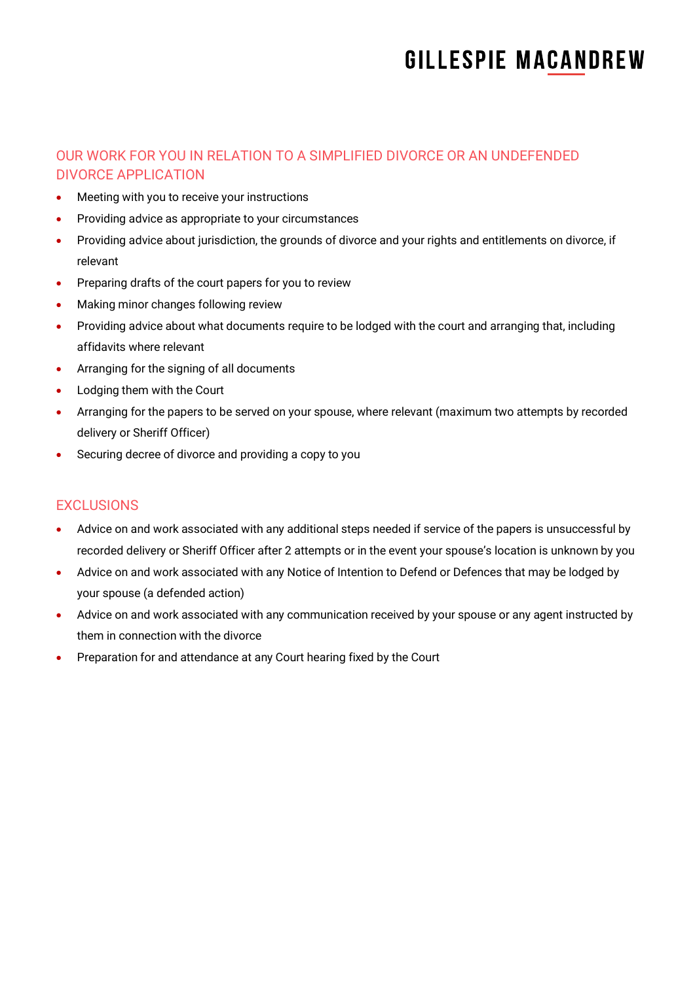# **GILLESPIE MACANDREW**

### OUR WORK FOR YOU IN RELATION TO A SIMPLIFIED DIVORCE OR AN UNDEFENDED DIVORCE APPLICATION

- Meeting with you to receive your instructions
- Providing advice as appropriate to your circumstances
- Providing advice about jurisdiction, the grounds of divorce and your rights and entitlements on divorce, if relevant
- Preparing drafts of the court papers for you to review
- Making minor changes following review
- Providing advice about what documents require to be lodged with the court and arranging that, including affidavits where relevant
- Arranging for the signing of all documents
- Lodging them with the Court
- Arranging for the papers to be served on your spouse, where relevant (maximum two attempts by recorded delivery or Sheriff Officer)
- Securing decree of divorce and providing a copy to you

### EXCLUSIONS

- Advice on and work associated with any additional steps needed if service of the papers is unsuccessful by recorded delivery or Sheriff Officer after 2 attempts or in the event your spouse's location is unknown by you
- Advice on and work associated with any Notice of Intention to Defend or Defences that may be lodged by your spouse (a defended action)
- Advice on and work associated with any communication received by your spouse or any agent instructed by them in connection with the divorce
- Preparation for and attendance at any Court hearing fixed by the Court